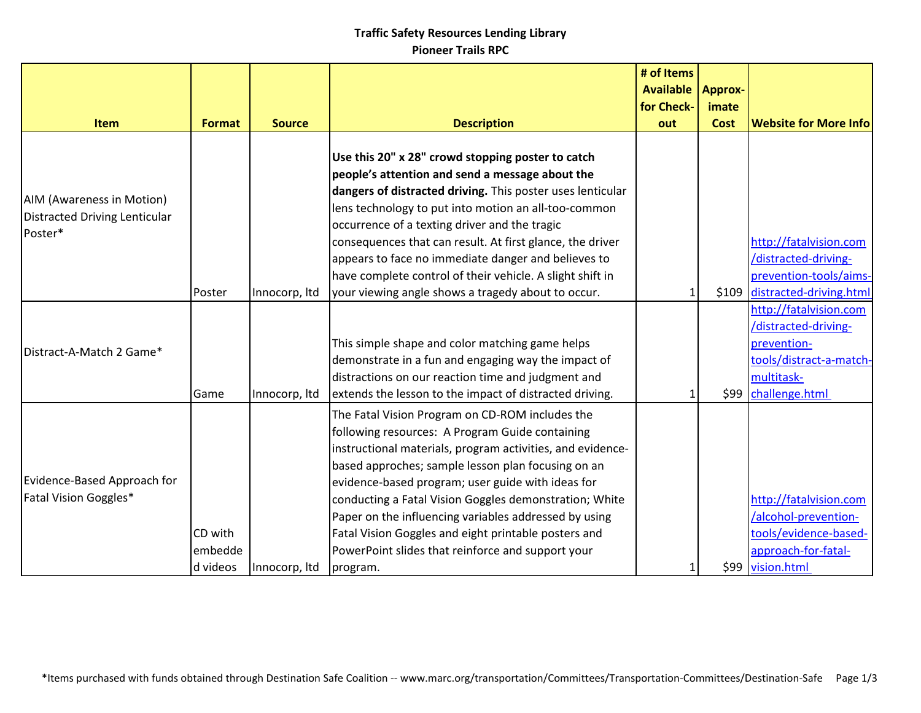|                                                                              |                                |               |                                                                                                                                                                                                                                                                                                                                                                                                                                                                                                                         | # of Items<br><b>Available</b><br>for Check- | <b>Approx-</b><br>imate | <b>Website for More Info</b>                                                                                             |
|------------------------------------------------------------------------------|--------------------------------|---------------|-------------------------------------------------------------------------------------------------------------------------------------------------------------------------------------------------------------------------------------------------------------------------------------------------------------------------------------------------------------------------------------------------------------------------------------------------------------------------------------------------------------------------|----------------------------------------------|-------------------------|--------------------------------------------------------------------------------------------------------------------------|
| Item                                                                         | <b>Format</b>                  | <b>Source</b> | <b>Description</b>                                                                                                                                                                                                                                                                                                                                                                                                                                                                                                      | out                                          | <b>Cost</b>             |                                                                                                                          |
| <b>AIM (Awareness in Motion)</b><br>Distracted Driving Lenticular<br>Poster* |                                |               | Use this 20" x 28" crowd stopping poster to catch<br>people's attention and send a message about the<br>dangers of distracted driving. This poster uses lenticular<br>lens technology to put into motion an all-too-common<br>occurrence of a texting driver and the tragic<br>consequences that can result. At first glance, the driver<br>appears to face no immediate danger and believes to<br>have complete control of their vehicle. A slight shift in                                                            |                                              |                         | http://fatalvision.com<br>/distracted-driving-<br>prevention-tools/aims-                                                 |
|                                                                              | Poster                         | Innocorp, Itd | your viewing angle shows a tragedy about to occur.                                                                                                                                                                                                                                                                                                                                                                                                                                                                      |                                              |                         | \$109 distracted-driving.html                                                                                            |
| Distract-A-Match 2 Game*                                                     | Game                           | Innocorp, Itd | This simple shape and color matching game helps<br>demonstrate in a fun and engaging way the impact of<br>distractions on our reaction time and judgment and<br>extends the lesson to the impact of distracted driving.                                                                                                                                                                                                                                                                                                 |                                              | \$99                    | http://fatalvision.com<br>/distracted-driving-<br>prevention-<br>tools/distract-a-match-<br>multitask-<br>challenge.html |
| Evidence-Based Approach for<br>Fatal Vision Goggles*                         | CD with<br>embedde<br>d videos | Innocorp, Itd | The Fatal Vision Program on CD-ROM includes the<br>following resources: A Program Guide containing<br>instructional materials, program activities, and evidence-<br>based approches; sample lesson plan focusing on an<br>evidence-based program; user guide with ideas for<br>conducting a Fatal Vision Goggles demonstration; White<br>Paper on the influencing variables addressed by using<br>Fatal Vision Goggles and eight printable posters and<br>PowerPoint slides that reinforce and support your<br>program. |                                              |                         | http://fatalvision.com<br>/alcohol-prevention-<br>tools/evidence-based-<br>approach-for-fatal-<br>\$99 vision.html       |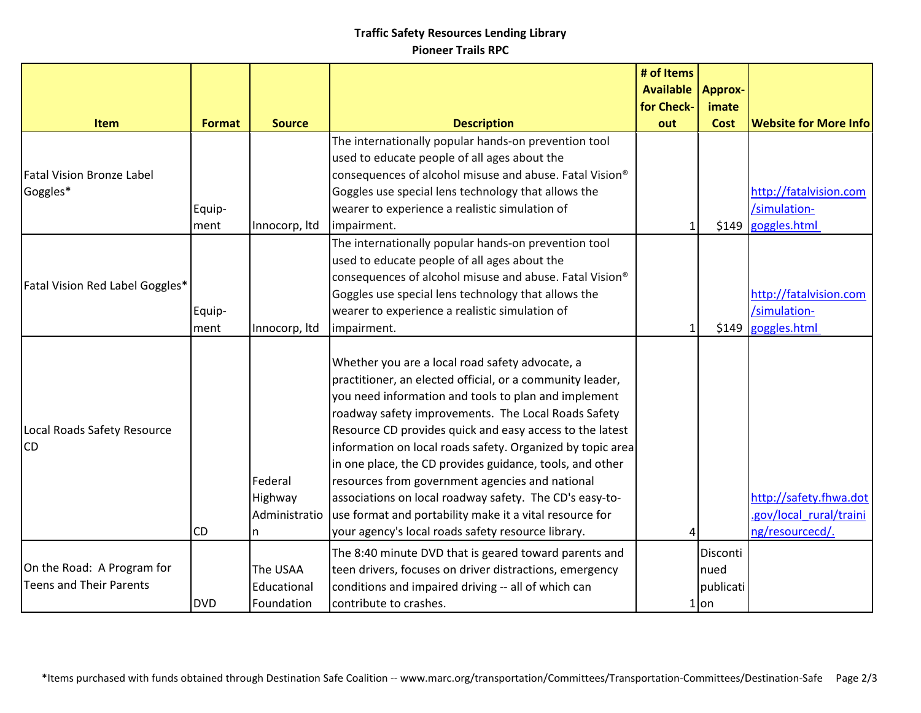|                                          |               |                                          |                                                                                                                                                                                                                                                                                                                                                                                                                                                                                                                                                                                                                                                  | # of Items<br><b>Available</b> | <b>Approx-</b>       |                                                                      |
|------------------------------------------|---------------|------------------------------------------|--------------------------------------------------------------------------------------------------------------------------------------------------------------------------------------------------------------------------------------------------------------------------------------------------------------------------------------------------------------------------------------------------------------------------------------------------------------------------------------------------------------------------------------------------------------------------------------------------------------------------------------------------|--------------------------------|----------------------|----------------------------------------------------------------------|
| <b>Item</b>                              | <b>Format</b> | <b>Source</b>                            | <b>Description</b>                                                                                                                                                                                                                                                                                                                                                                                                                                                                                                                                                                                                                               | for Check-<br>out              | imate<br><b>Cost</b> | <b>Website for More Info</b>                                         |
|                                          |               |                                          | The internationally popular hands-on prevention tool                                                                                                                                                                                                                                                                                                                                                                                                                                                                                                                                                                                             |                                |                      |                                                                      |
|                                          |               |                                          | used to educate people of all ages about the                                                                                                                                                                                                                                                                                                                                                                                                                                                                                                                                                                                                     |                                |                      |                                                                      |
| <b>Fatal Vision Bronze Label</b>         |               |                                          | consequences of alcohol misuse and abuse. Fatal Vision®                                                                                                                                                                                                                                                                                                                                                                                                                                                                                                                                                                                          |                                |                      |                                                                      |
| Goggles*                                 |               |                                          | Goggles use special lens technology that allows the                                                                                                                                                                                                                                                                                                                                                                                                                                                                                                                                                                                              |                                |                      | http://fatalvision.com                                               |
|                                          | Equip-        |                                          | wearer to experience a realistic simulation of                                                                                                                                                                                                                                                                                                                                                                                                                                                                                                                                                                                                   |                                |                      | /simulation-                                                         |
|                                          | ment          | Innocorp, Itd                            | impairment.                                                                                                                                                                                                                                                                                                                                                                                                                                                                                                                                                                                                                                      |                                | \$149                | goggles.html                                                         |
|                                          |               |                                          | The internationally popular hands-on prevention tool                                                                                                                                                                                                                                                                                                                                                                                                                                                                                                                                                                                             |                                |                      |                                                                      |
|                                          |               |                                          | used to educate people of all ages about the                                                                                                                                                                                                                                                                                                                                                                                                                                                                                                                                                                                                     |                                |                      |                                                                      |
|                                          |               |                                          | consequences of alcohol misuse and abuse. Fatal Vision®                                                                                                                                                                                                                                                                                                                                                                                                                                                                                                                                                                                          |                                |                      |                                                                      |
| Fatal Vision Red Label Goggles*          |               |                                          | Goggles use special lens technology that allows the                                                                                                                                                                                                                                                                                                                                                                                                                                                                                                                                                                                              |                                |                      | http://fatalvision.com                                               |
|                                          | Equip-        |                                          | wearer to experience a realistic simulation of                                                                                                                                                                                                                                                                                                                                                                                                                                                                                                                                                                                                   |                                |                      | /simulation-                                                         |
|                                          | ment          | Innocorp, Itd                            | impairment.                                                                                                                                                                                                                                                                                                                                                                                                                                                                                                                                                                                                                                      |                                | \$149                | goggles.html                                                         |
| Local Roads Safety Resource<br><b>CD</b> | <b>CD</b>     | Federal<br>Highway<br>Administratio<br>n | Whether you are a local road safety advocate, a<br>practitioner, an elected official, or a community leader,<br>you need information and tools to plan and implement<br>roadway safety improvements. The Local Roads Safety<br>Resource CD provides quick and easy access to the latest<br>information on local roads safety. Organized by topic area<br>in one place, the CD provides guidance, tools, and other<br>resources from government agencies and national<br>associations on local roadway safety. The CD's easy-to-<br>use format and portability make it a vital resource for<br>your agency's local roads safety resource library. |                                |                      | http://safety.fhwa.dot<br>.gov/local rural/traini<br>ng/resourcecd/. |
|                                          |               |                                          | The 8:40 minute DVD that is geared toward parents and                                                                                                                                                                                                                                                                                                                                                                                                                                                                                                                                                                                            |                                | Disconti             |                                                                      |
| On the Road: A Program for               |               | The USAA                                 | teen drivers, focuses on driver distractions, emergency                                                                                                                                                                                                                                                                                                                                                                                                                                                                                                                                                                                          |                                | nued                 |                                                                      |
| Teens and Their Parents                  |               | Educational                              | conditions and impaired driving -- all of which can                                                                                                                                                                                                                                                                                                                                                                                                                                                                                                                                                                                              |                                | publicati            |                                                                      |
|                                          | <b>DVD</b>    | Foundation                               | contribute to crashes.                                                                                                                                                                                                                                                                                                                                                                                                                                                                                                                                                                                                                           |                                | $1$ on               |                                                                      |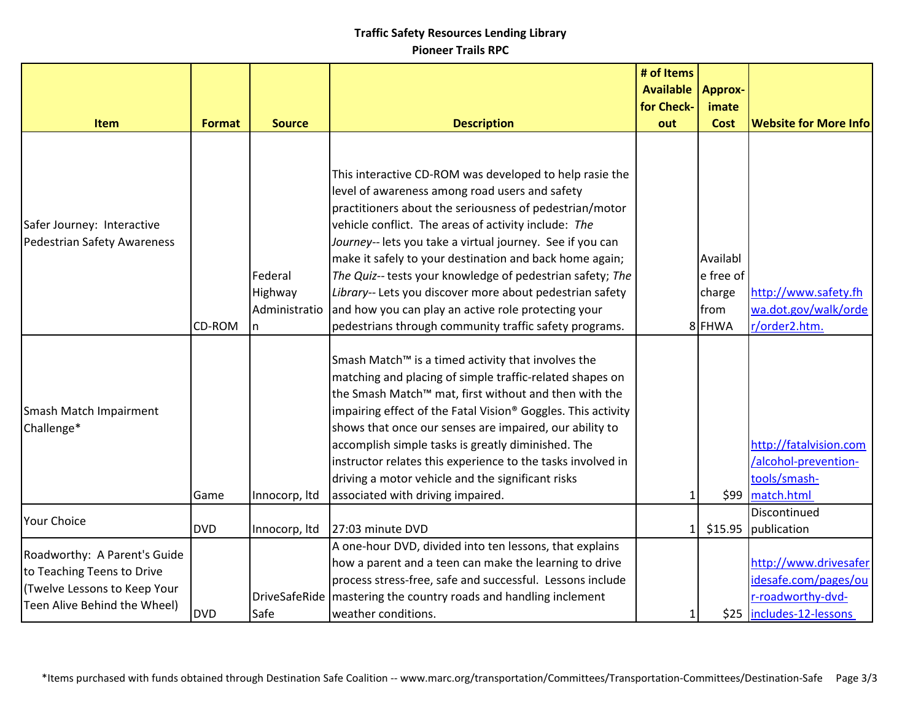|                                                                                                                            |               |                                     |                                                                                                                                                                                                                                                                                                                                                                                                                                                                                                                                                                                                | # of Items<br><b>Available</b> | <b>Approx-</b>                                    |                                                                                                |
|----------------------------------------------------------------------------------------------------------------------------|---------------|-------------------------------------|------------------------------------------------------------------------------------------------------------------------------------------------------------------------------------------------------------------------------------------------------------------------------------------------------------------------------------------------------------------------------------------------------------------------------------------------------------------------------------------------------------------------------------------------------------------------------------------------|--------------------------------|---------------------------------------------------|------------------------------------------------------------------------------------------------|
|                                                                                                                            |               |                                     |                                                                                                                                                                                                                                                                                                                                                                                                                                                                                                                                                                                                | for Check-                     | imate                                             |                                                                                                |
| <b>Item</b>                                                                                                                | <b>Format</b> | <b>Source</b>                       | <b>Description</b>                                                                                                                                                                                                                                                                                                                                                                                                                                                                                                                                                                             | out                            | <b>Cost</b>                                       | <b>Website for More Info</b>                                                                   |
| Safer Journey: Interactive<br>Pedestrian Safety Awareness                                                                  | CD-ROM        | Federal<br>Highway<br>Administratio | This interactive CD-ROM was developed to help rasie the<br>level of awareness among road users and safety<br>practitioners about the seriousness of pedestrian/motor<br>vehicle conflict. The areas of activity include: The<br>Journey-- lets you take a virtual journey. See if you can<br>make it safely to your destination and back home again;<br>The Quiz-- tests your knowledge of pedestrian safety; The<br>Library-- Lets you discover more about pedestrian safety<br>and how you can play an active role protecting your<br>pedestrians through community traffic safety programs. |                                | Availabl<br>e free of<br>charge<br>from<br>8 FHWA | http://www.safety.fh<br>wa.dot.gov/walk/orde<br>r/order2.htm.                                  |
| Smash Match Impairment<br>Challenge*                                                                                       | Game          | Innocorp, Itd                       | Smash Match <sup>™</sup> is a timed activity that involves the<br>matching and placing of simple traffic-related shapes on<br>the Smash Match™ mat, first without and then with the<br>impairing effect of the Fatal Vision® Goggles. This activity<br>shows that once our senses are impaired, our ability to<br>accomplish simple tasks is greatly diminished. The<br>instructor relates this experience to the tasks involved in<br>driving a motor vehicle and the significant risks<br>associated with driving impaired.                                                                  |                                |                                                   | http://fatalvision.com<br>/alcohol-prevention-<br>tools/smash-<br>\$99 match.html              |
| Your Choice                                                                                                                | <b>DVD</b>    | Innocorp, Itd                       | 27:03 minute DVD                                                                                                                                                                                                                                                                                                                                                                                                                                                                                                                                                                               | 1 <sup>1</sup>                 | \$15.95                                           | Discontinued<br>publication                                                                    |
| Roadworthy: A Parent's Guide<br>to Teaching Teens to Drive<br>(Twelve Lessons to Keep Your<br>Teen Alive Behind the Wheel) | <b>DVD</b>    | DriveSafeRide<br>Safe               | A one-hour DVD, divided into ten lessons, that explains<br>how a parent and a teen can make the learning to drive<br>process stress-free, safe and successful. Lessons include<br>mastering the country roads and handling inclement<br>weather conditions.                                                                                                                                                                                                                                                                                                                                    |                                |                                                   | http://www.drivesafer<br>idesafe.com/pages/ou<br>r-roadworthy-dvd-<br>\$25 includes-12-lessons |